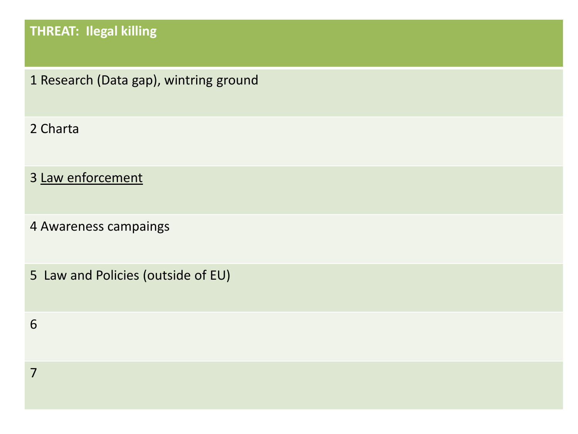# **THREAT: Ilegal killing**

Research (Data gap), wintring ground

Charta

Law enforcement

Awareness campaings

5 Law and Policies (outside of EU)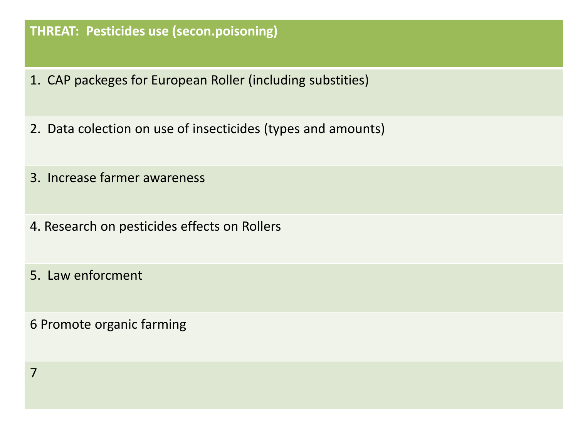#### **THREAT: Pesticides use (secon.poisoning)**

- 1. CAP packeges for European Roller (including substities)
- 2. Data colection on use of insecticides (types and amounts)
- 3. Increase farmer awareness
- 4. Research on pesticides effects on Rollers
- 5. Law enforcment

6 Promote organic farming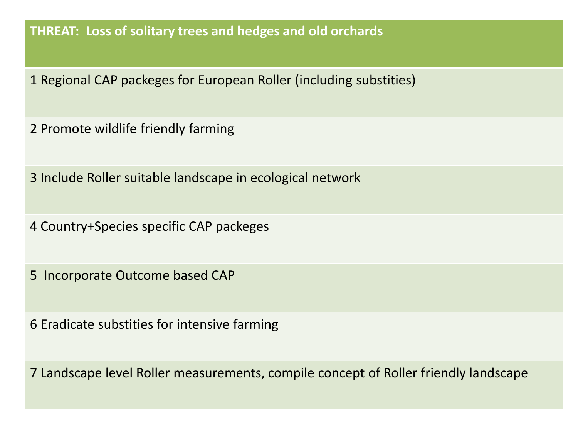**THREAT: Loss of solitary trees and hedges and old orchards**

Regional CAP packeges for European Roller (including substities)

Promote wildlife friendly farming

Include Roller suitable landscape in ecological network

Country+Species specific CAP packeges

5 Incorporate Outcome based CAP

Eradicate substities for intensive farming

Landscape level Roller measurements, compile concept of Roller friendly landscape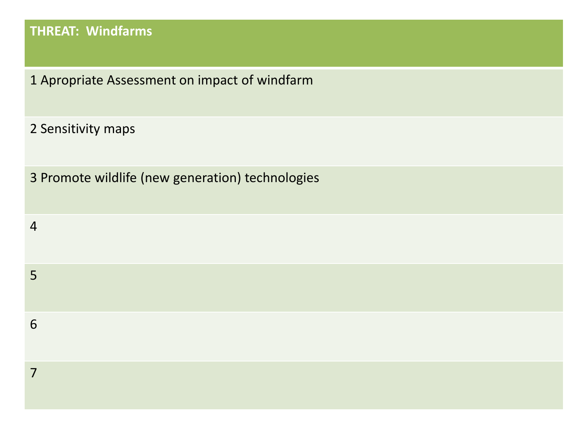# **THREAT: Windfarms**

Apropriate Assessment on impact of windfarm

Sensitivity maps

Promote wildlife (new generation) technologies

| $\overline{4}$ |  |  |  |
|----------------|--|--|--|
| 5              |  |  |  |
| 6              |  |  |  |
| 7              |  |  |  |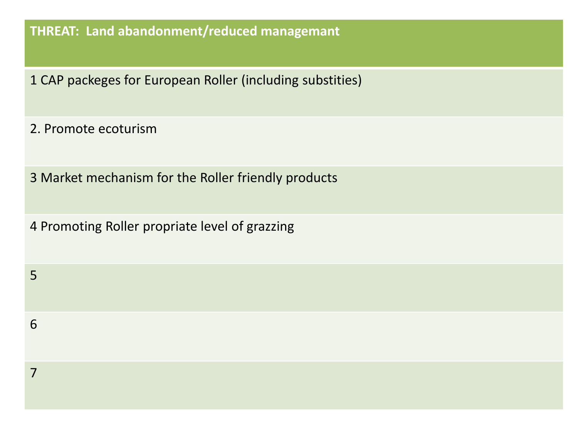## **THREAT: Land abandonment/reduced managemant**

- CAP packeges for European Roller (including substities)
- 2. Promote ecoturism
- Market mechanism for the Roller friendly products
- Promoting Roller propriate level of grazzing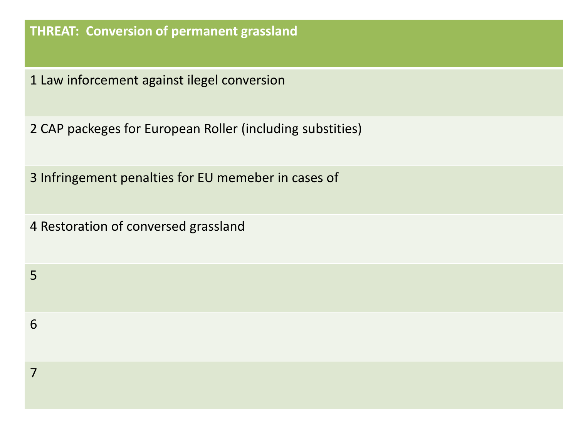## **THREAT: Conversion of permanent grassland**

Law inforcement against ilegel conversion

CAP packeges for European Roller (including substities)

Infringement penalties for EU memeber in cases of

Restoration of conversed grassland